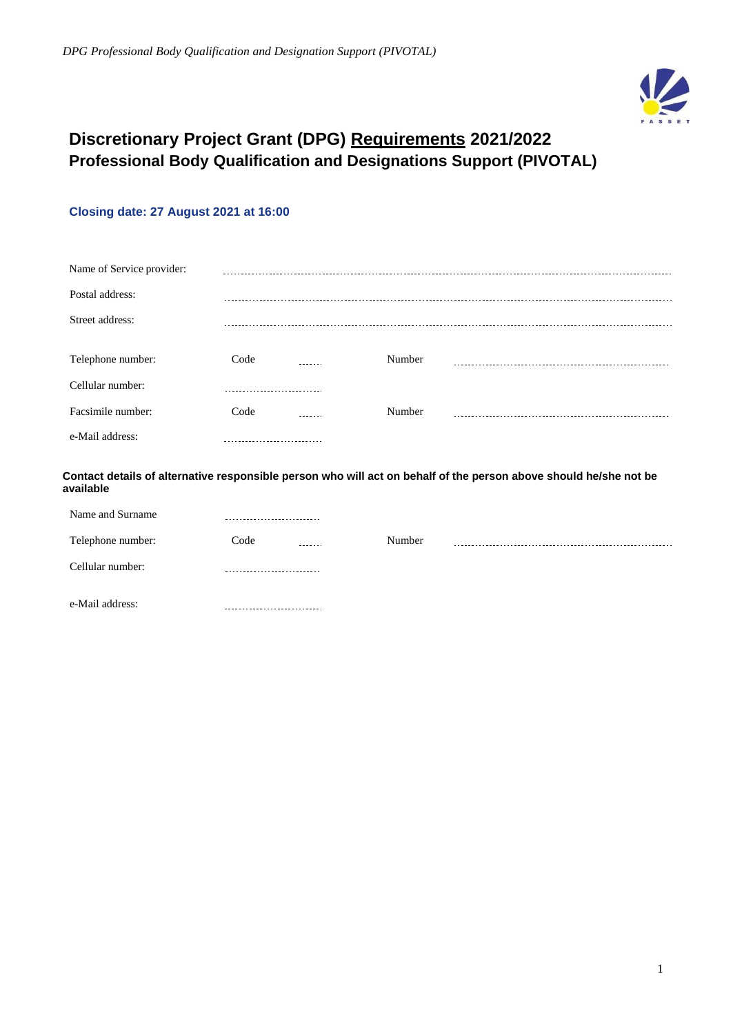

# **Discretionary Project Grant (DPG) Requirements 2021/2022 Professional Body Qualification and Designations Support (PIVOTAL)**

# **Closing date: 27 August 2021 at 16:00**

| Name of Service provider: |      |        |        |  |
|---------------------------|------|--------|--------|--|
| Postal address:           |      |        |        |  |
| Street address:           |      |        |        |  |
|                           |      |        |        |  |
| Telephone number:         | Code |        | Number |  |
| Cellular number:          |      |        |        |  |
| Facsimile number:         | Code | ------ | Number |  |
| e-Mail address:           |      |        |        |  |

**Contact details of alternative responsible person who will act on behalf of the person above should he/she not be available**

| Name and Surname  |                 |        |  |
|-------------------|-----------------|--------|--|
| Telephone number: | Code<br>------- | Number |  |
| Cellular number:  |                 |        |  |
| e-Mail address:   |                 |        |  |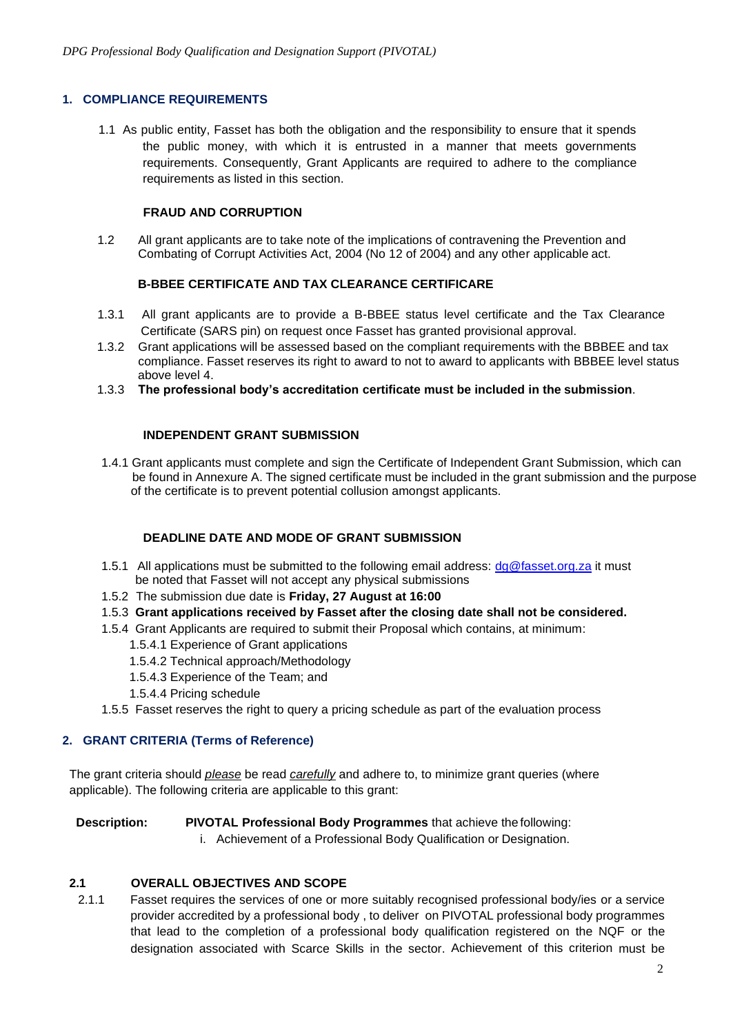## **1. COMPLIANCE REQUIREMENTS**

1.1 As public entity, Fasset has both the obligation and the responsibility to ensure that it spends the public money, with which it is entrusted in a manner that meets governments requirements. Consequently, Grant Applicants are required to adhere to the compliance requirements as listed in this section.

## **FRAUD AND CORRUPTION**

1.2 All grant applicants are to take note of the implications of contravening the Prevention and Combating of Corrupt Activities Act, 2004 (No 12 of 2004) and any other applicable act.

## **B-BBEE CERTIFICATE AND TAX CLEARANCE CERTIFICARE**

- 1.3.1 All grant applicants are to provide a B-BBEE status level certificate and the Tax Clearance Certificate (SARS pin) on request once Fasset has granted provisional approval.
- 1.3.2 Grant applications will be assessed based on the compliant requirements with the BBBEE and tax compliance. Fasset reserves its right to award to not to award to applicants with BBBEE level status above level 4.
- 1.3.3 **The professional body's accreditation certificate must be included in the submission**.

## **INDEPENDENT GRANT SUBMISSION**

1.4.1 Grant applicants must complete and sign the Certificate of Independent Grant Submission, which can be found in Annexure A. The signed certificate must be included in the grant submission and the purpose of the certificate is to prevent potential collusion amongst applicants.

#### **DEADLINE DATE AND MODE OF GRANT SUBMISSION**

- 1.5.1 All applications must be submitted to the following email address:  $dq@fasset.org.za$  it must be noted that Fasset will not accept any physical submissions
- 1.5.2 The submission due date is **Friday, 27 August at 16:00**
- 1.5.3 **Grant applications received by Fasset after the closing date shall not be considered.**
- 1.5.4 Grant Applicants are required to submit their Proposal which contains, at minimum:
	- 1.5.4.1 Experience of Grant applications
	- 1.5.4.2 Technical approach/Methodology
	- 1.5.4.3 Experience of the Team; and
	- 1.5.4.4 Pricing schedule
- 1.5.5 Fasset reserves the right to query a pricing schedule as part of the evaluation process

## **2. GRANT CRITERIA (Terms of Reference)**

The grant criteria should *please* be read *carefully* and adhere to, to minimize grant queries (where applicable). The following criteria are applicable to this grant:

 **Description: PIVOTAL Professional Body Programmes** that achieve the following:

i. Achievement of a Professional Body Qualification or Designation.

## **2.1 OVERALL OBJECTIVES AND SCOPE**

2.1.1 Fasset requires the services of one or more suitably recognised professional body/ies or a service provider accredited by a professional body , to deliver on PIVOTAL professional body programmes that lead to the completion of a professional body qualification registered on the NQF or the designation associated with Scarce Skills in the sector. Achievement of this criterion must be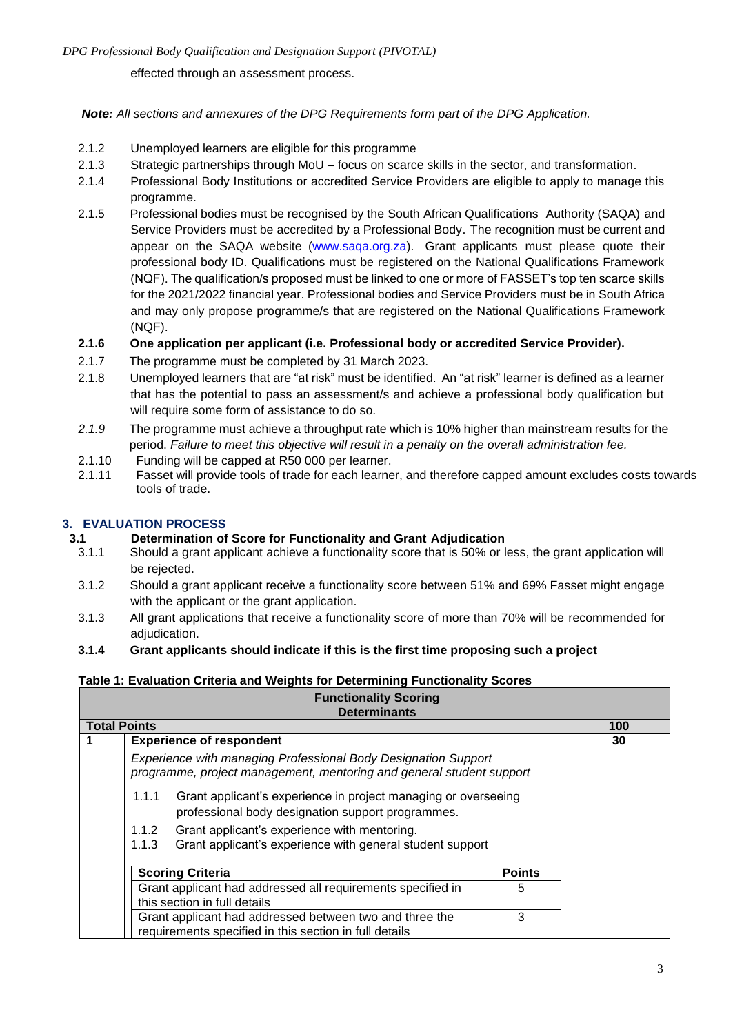*DPG Professional Body Qualification and Designation Support (PIVOTAL)*

effected through an assessment process.

## *Note: All sections and annexures of the DPG Requirements form part of the DPG Application.*

- 2.1.2 Unemployed learners are eligible for this programme
- 2.1.3 Strategic partnerships through MoU focus on scarce skills in the sector, and transformation.
- 2.1.4 Professional Body Institutions or accredited Service Providers are eligible to apply to manage this programme.
- 2.1.5 Professional bodies must be recognised by the South African Qualifications Authority (SAQA) and Service Providers must be accredited by a Professional Body. The [recognition](http://www.saqa.org.za/) must be current and appear on the SAQA website [\(www.saqa.org.za\)](http://www.saqa.org.za/). Grant applicants must please quote their professional body ID. Qualifications must be registered on the National Qualifications Framework (NQF). The qualification/s proposed must be linked to one or more of FASSET's top ten scarce skills for the 2021/2022 financial year. Professional bodies and Service Providers must be in South Africa and may only propose programme/s that are registered on the National Qualifications Framework (NQF).
- **2.1.6 One application per applicant (i.e. Professional body or accredited Service Provider).**
- 2.1.7 The programme must be completed by 31 March 2023.
- 2.1.8 Unemployed learners that are "at risk" must be identified. An "at risk" learner is defined as a learner that has the potential to pass an assessment/s and achieve a professional body qualification but will require some form of assistance to do so.
- *2.1.9* The programme must achieve a throughput rate which is 10% higher than mainstream results for the period. *Failure to meet this objective will result in a penalty on the overall administration fee.*
- 2.1.10 Funding will be capped at R50 000 per learner.
- 2.1.11 Fasset will provide tools of trade for each learner, and therefore capped amount excludes costs towards tools of trade.

## **3. EVALUATION PROCESS**

## **3.1 Determination of Score for Functionality and Grant Adjudication**

- 3.1.1 Should a grant applicant achieve a functionality score that is 50% or less, the grant application will be rejected.
- 3.1.2 Should a grant applicant receive a functionality score between 51% and 69% Fasset might engage with the applicant or the grant application.
- 3.1.3 All grant applications that receive a functionality score of more than 70% will be recommended for adjudication.
- **3.1.4 Grant applicants should indicate if this is the first time proposing such a project**

## **Table 1: Evaluation Criteria and Weights for Determining Functionality Scores**

| <b>Functionality Scoring</b><br><b>Determinants</b>                                                                                    |                                                                                                                              |  |     |  |  |
|----------------------------------------------------------------------------------------------------------------------------------------|------------------------------------------------------------------------------------------------------------------------------|--|-----|--|--|
| <b>Total Points</b>                                                                                                                    |                                                                                                                              |  | 100 |  |  |
|                                                                                                                                        | <b>Experience of respondent</b>                                                                                              |  | 30  |  |  |
| Experience with managing Professional Body Designation Support<br>programme, project management, mentoring and general student support |                                                                                                                              |  |     |  |  |
|                                                                                                                                        | Grant applicant's experience in project managing or overseeing<br>1.1.1<br>professional body designation support programmes. |  |     |  |  |
| Grant applicant's experience with mentoring.<br>1.1.2                                                                                  |                                                                                                                              |  |     |  |  |
| Grant applicant's experience with general student support<br>1.1.3                                                                     |                                                                                                                              |  |     |  |  |
|                                                                                                                                        |                                                                                                                              |  |     |  |  |
| <b>Scoring Criteria</b><br><b>Points</b>                                                                                               |                                                                                                                              |  |     |  |  |
| Grant applicant had addressed all requirements specified in<br>5                                                                       |                                                                                                                              |  |     |  |  |
| this section in full details                                                                                                           |                                                                                                                              |  |     |  |  |
| 3<br>Grant applicant had addressed between two and three the                                                                           |                                                                                                                              |  |     |  |  |
|                                                                                                                                        | requirements specified in this section in full details                                                                       |  |     |  |  |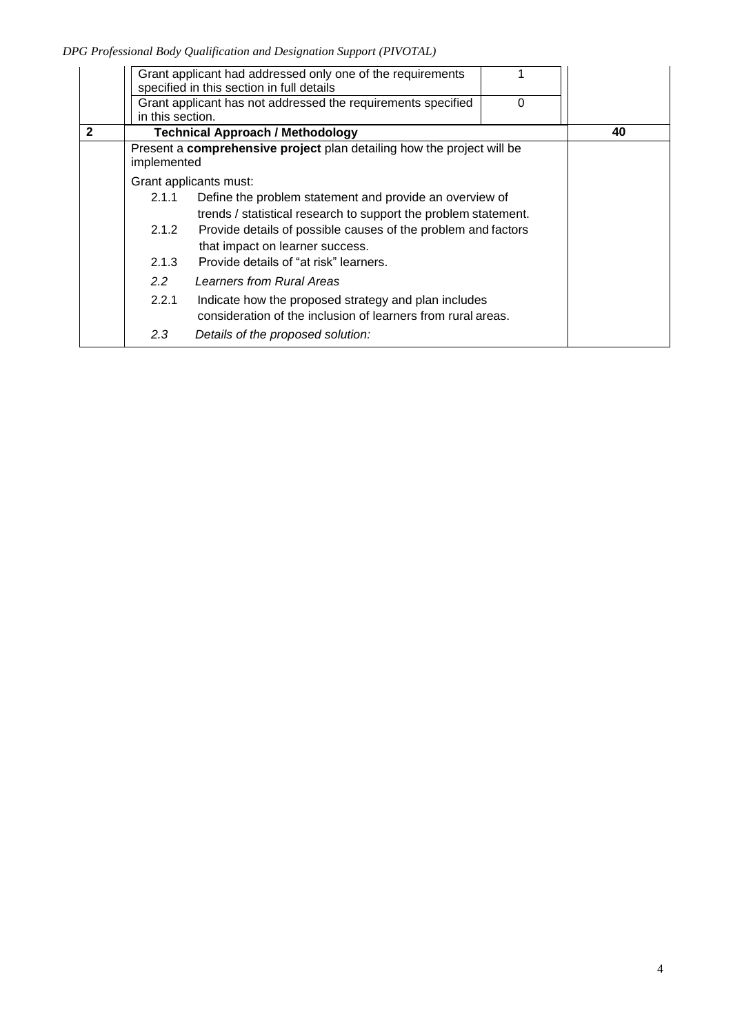*DPG Professional Body Qualification and Designation Support (PIVOTAL)*

|              | in this section. | Grant applicant had addressed only one of the requirements<br>specified in this section in full details<br>Grant applicant has not addressed the requirements specified | 0 |    |
|--------------|------------------|-------------------------------------------------------------------------------------------------------------------------------------------------------------------------|---|----|
| $\mathbf{2}$ |                  | <b>Technical Approach / Methodology</b>                                                                                                                                 |   | 40 |
|              | implemented      | Present a comprehensive project plan detailing how the project will be                                                                                                  |   |    |
|              |                  | Grant applicants must:                                                                                                                                                  |   |    |
|              | 2.1.1            | Define the problem statement and provide an overview of<br>trends / statistical research to support the problem statement.                                              |   |    |
|              | 2.1.2            | Provide details of possible causes of the problem and factors<br>that impact on learner success.                                                                        |   |    |
|              | 2.1.3            | Provide details of "at risk" learners.                                                                                                                                  |   |    |
|              | $2.2^{\circ}$    | Learners from Rural Areas                                                                                                                                               |   |    |
|              | 2.2.1            | Indicate how the proposed strategy and plan includes<br>consideration of the inclusion of learners from rural areas.                                                    |   |    |
|              | 2.3              | Details of the proposed solution:                                                                                                                                       |   |    |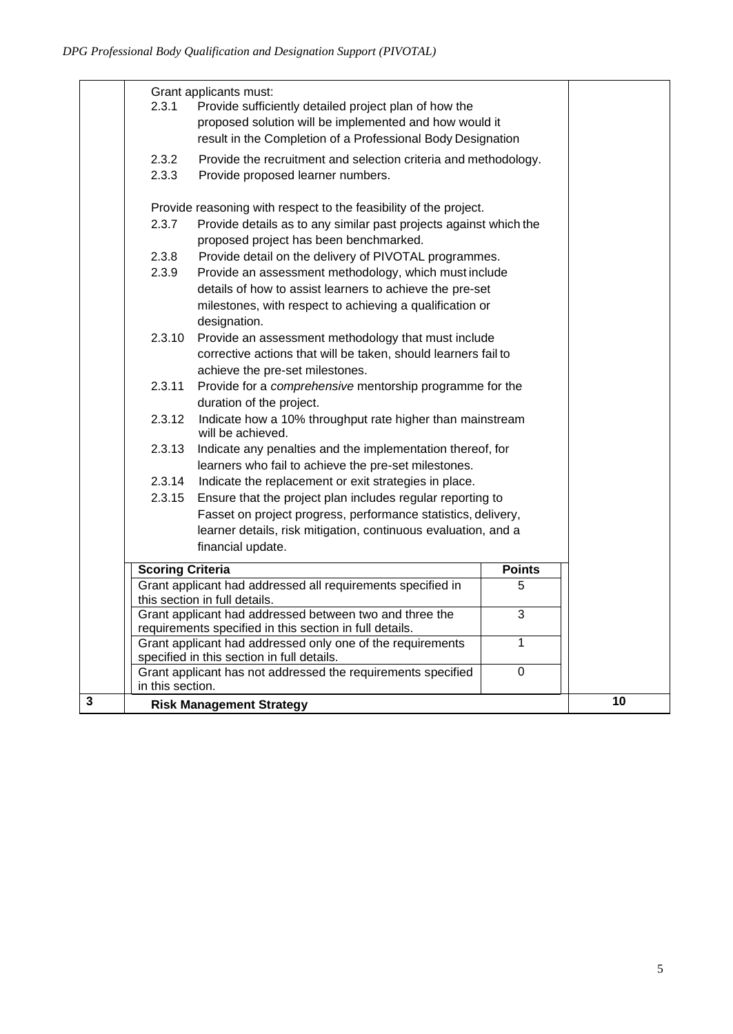|              | 2.3.1                                                                                                                  | Grant applicants must:<br>Provide sufficiently detailed project plan of how the<br>proposed solution will be implemented and how would it<br>result in the Completion of a Professional Body Designation |   |    |
|--------------|------------------------------------------------------------------------------------------------------------------------|----------------------------------------------------------------------------------------------------------------------------------------------------------------------------------------------------------|---|----|
|              | 2.3.2<br>Provide the recruitment and selection criteria and methodology.<br>2.3.3<br>Provide proposed learner numbers. |                                                                                                                                                                                                          |   |    |
|              | Provide reasoning with respect to the feasibility of the project.                                                      |                                                                                                                                                                                                          |   |    |
|              | Provide details as to any similar past projects against which the<br>2.3.7<br>proposed project has been benchmarked.   |                                                                                                                                                                                                          |   |    |
|              | 2.3.8                                                                                                                  | Provide detail on the delivery of PIVOTAL programmes.                                                                                                                                                    |   |    |
|              | 2.3.9                                                                                                                  | Provide an assessment methodology, which must include                                                                                                                                                    |   |    |
|              |                                                                                                                        | details of how to assist learners to achieve the pre-set                                                                                                                                                 |   |    |
|              |                                                                                                                        | milestones, with respect to achieving a qualification or                                                                                                                                                 |   |    |
|              |                                                                                                                        | designation.                                                                                                                                                                                             |   |    |
|              | 2.3.10                                                                                                                 | Provide an assessment methodology that must include                                                                                                                                                      |   |    |
|              |                                                                                                                        | corrective actions that will be taken, should learners fail to                                                                                                                                           |   |    |
|              |                                                                                                                        | achieve the pre-set milestones.                                                                                                                                                                          |   |    |
|              | 2.3.11                                                                                                                 | Provide for a comprehensive mentorship programme for the                                                                                                                                                 |   |    |
|              |                                                                                                                        | duration of the project.                                                                                                                                                                                 |   |    |
|              | 2.3.12                                                                                                                 | Indicate how a 10% throughput rate higher than mainstream<br>will be achieved.                                                                                                                           |   |    |
|              | 2.3.13<br>Indicate any penalties and the implementation thereof, for                                                   |                                                                                                                                                                                                          |   |    |
|              |                                                                                                                        | learners who fail to achieve the pre-set milestones.                                                                                                                                                     |   |    |
|              | Indicate the replacement or exit strategies in place.<br>2.3.14                                                        |                                                                                                                                                                                                          |   |    |
|              | Ensure that the project plan includes regular reporting to<br>2.3.15                                                   |                                                                                                                                                                                                          |   |    |
|              |                                                                                                                        | Fasset on project progress, performance statistics, delivery,                                                                                                                                            |   |    |
|              |                                                                                                                        | learner details, risk mitigation, continuous evaluation, and a                                                                                                                                           |   |    |
|              | financial update.                                                                                                      |                                                                                                                                                                                                          |   |    |
|              |                                                                                                                        |                                                                                                                                                                                                          |   |    |
|              | <b>Scoring Criteria</b><br><b>Points</b><br>Grant applicant had addressed all requirements specified in<br>5           |                                                                                                                                                                                                          |   |    |
|              | this section in full details.                                                                                          |                                                                                                                                                                                                          |   |    |
|              | Grant applicant had addressed between two and three the<br>$\overline{3}$                                              |                                                                                                                                                                                                          |   |    |
|              | requirements specified in this section in full details.                                                                |                                                                                                                                                                                                          |   |    |
|              |                                                                                                                        | Grant applicant had addressed only one of the requirements                                                                                                                                               | 1 |    |
|              |                                                                                                                        | specified in this section in full details.                                                                                                                                                               |   |    |
|              |                                                                                                                        | Grant applicant has not addressed the requirements specified                                                                                                                                             | 0 |    |
| $\mathbf{3}$ | in this section.<br><b>Risk Management Strategy</b>                                                                    |                                                                                                                                                                                                          |   | 10 |
|              |                                                                                                                        |                                                                                                                                                                                                          |   |    |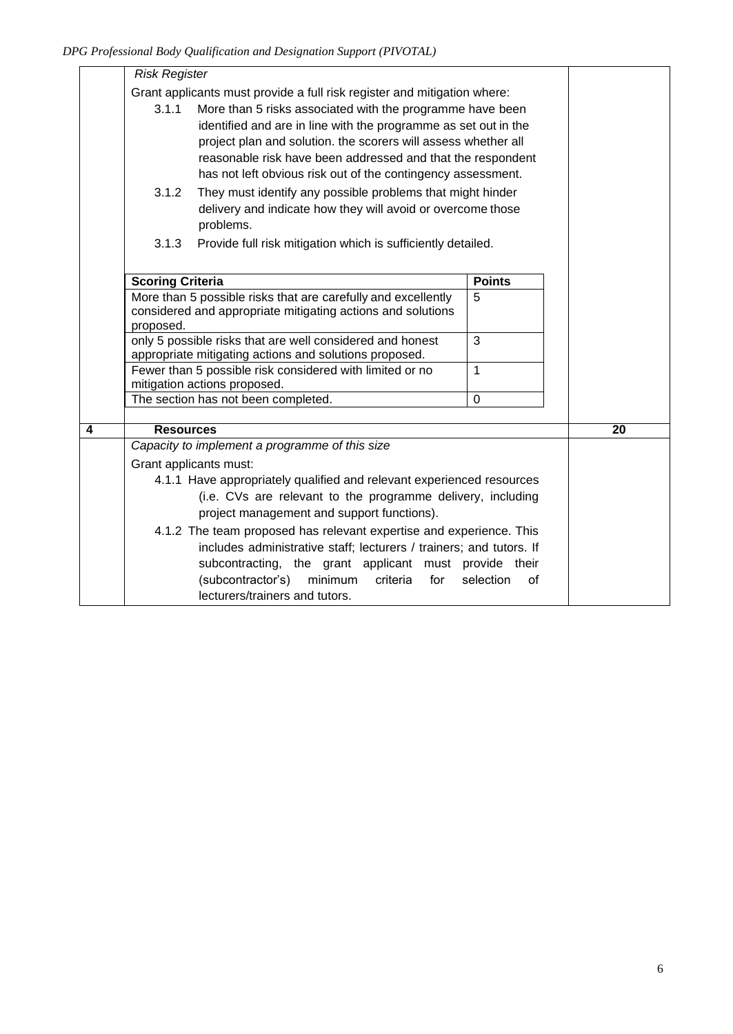|   | <b>Risk Register</b>                                                     |                                                                     |                 |    |
|---|--------------------------------------------------------------------------|---------------------------------------------------------------------|-----------------|----|
|   | Grant applicants must provide a full risk register and mitigation where: |                                                                     |                 |    |
|   | 3.1.1<br>More than 5 risks associated with the programme have been       |                                                                     |                 |    |
|   |                                                                          | identified and are in line with the programme as set out in the     |                 |    |
|   |                                                                          | project plan and solution. the scorers will assess whether all      |                 |    |
|   |                                                                          | reasonable risk have been addressed and that the respondent         |                 |    |
|   |                                                                          | has not left obvious risk out of the contingency assessment.        |                 |    |
|   | 3.1.2                                                                    | They must identify any possible problems that might hinder          |                 |    |
|   |                                                                          | delivery and indicate how they will avoid or overcome those         |                 |    |
|   |                                                                          | problems.                                                           |                 |    |
|   | 3.1.3                                                                    | Provide full risk mitigation which is sufficiently detailed.        |                 |    |
|   |                                                                          |                                                                     |                 |    |
|   | <b>Scoring Criteria</b>                                                  |                                                                     | <b>Points</b>   |    |
|   |                                                                          | More than 5 possible risks that are carefully and excellently       | 5               |    |
|   |                                                                          | considered and appropriate mitigating actions and solutions         |                 |    |
|   | proposed.                                                                |                                                                     |                 |    |
|   | only 5 possible risks that are well considered and honest<br>3           |                                                                     |                 |    |
|   | appropriate mitigating actions and solutions proposed.                   |                                                                     |                 |    |
|   | Fewer than 5 possible risk considered with limited or no<br>$\mathbf 1$  |                                                                     |                 |    |
|   | mitigation actions proposed.<br>The section has not been completed.      |                                                                     | $\mathbf 0$     |    |
|   |                                                                          |                                                                     |                 |    |
| 4 | <b>Resources</b>                                                         |                                                                     |                 | 20 |
|   |                                                                          | Capacity to implement a programme of this size                      |                 |    |
|   | Grant applicants must:                                                   |                                                                     |                 |    |
|   | 4.1.1 Have appropriately qualified and relevant experienced resources    |                                                                     |                 |    |
|   | (i.e. CVs are relevant to the programme delivery, including              |                                                                     |                 |    |
|   | project management and support functions).                               |                                                                     |                 |    |
|   | 4.1.2 The team proposed has relevant expertise and experience. This      |                                                                     |                 |    |
|   |                                                                          | includes administrative staff; lecturers / trainers; and tutors. If |                 |    |
|   |                                                                          | subcontracting, the grant applicant must provide their              |                 |    |
|   |                                                                          | (subcontractor's)<br>minimum<br>criteria<br>for                     | selection<br>οf |    |
|   |                                                                          | lecturers/trainers and tutors.                                      |                 |    |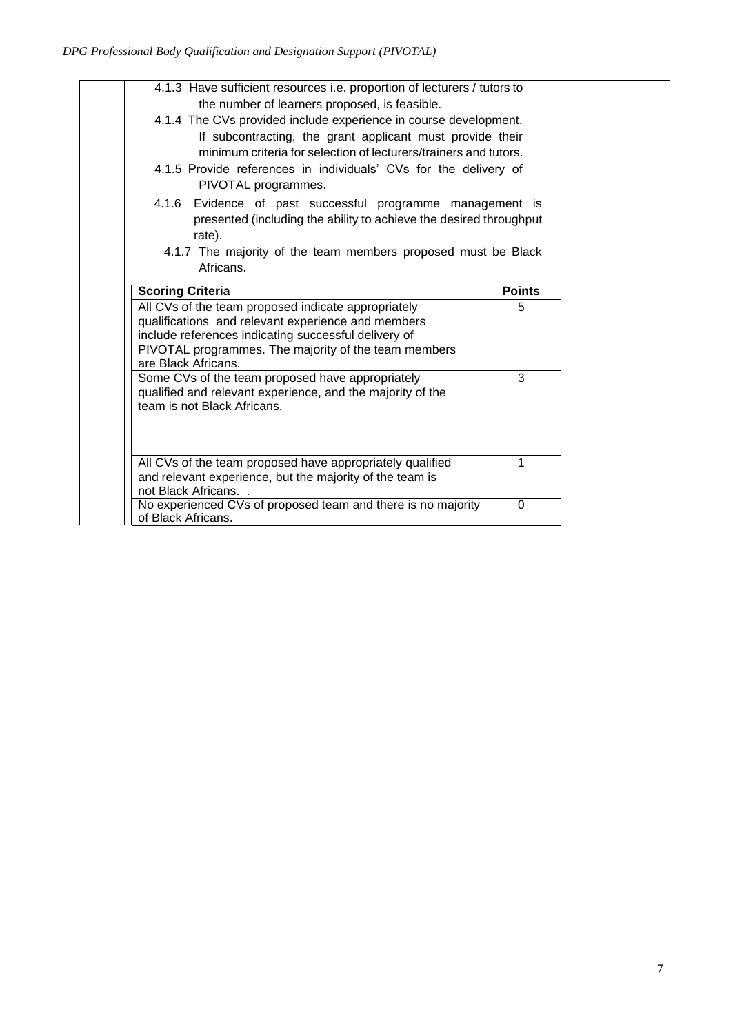| 4.1.3 Have sufficient resources i.e. proportion of lecturers / tutors to<br>the number of learners proposed, is feasible. |               |  |  |
|---------------------------------------------------------------------------------------------------------------------------|---------------|--|--|
| 4.1.4 The CVs provided include experience in course development.                                                          |               |  |  |
| If subcontracting, the grant applicant must provide their                                                                 |               |  |  |
| minimum criteria for selection of lecturers/trainers and tutors.                                                          |               |  |  |
| 4.1.5 Provide references in individuals' CVs for the delivery of                                                          |               |  |  |
| PIVOTAL programmes.                                                                                                       |               |  |  |
| 4.1.6 Evidence of past successful programme management is                                                                 |               |  |  |
| presented (including the ability to achieve the desired throughput                                                        |               |  |  |
| rate).                                                                                                                    |               |  |  |
| 4.1.7 The majority of the team members proposed must be Black                                                             |               |  |  |
| Africans.                                                                                                                 |               |  |  |
| <b>Scoring Criteria</b>                                                                                                   | <b>Points</b> |  |  |
|                                                                                                                           |               |  |  |
| All CVs of the team proposed indicate appropriately                                                                       | 5             |  |  |
| qualifications and relevant experience and members                                                                        |               |  |  |
| include references indicating successful delivery of                                                                      |               |  |  |
| PIVOTAL programmes. The majority of the team members                                                                      |               |  |  |
| are Black Africans.                                                                                                       |               |  |  |
| Some CVs of the team proposed have appropriately                                                                          | 3             |  |  |
| qualified and relevant experience, and the majority of the<br>team is not Black Africans.                                 |               |  |  |
|                                                                                                                           |               |  |  |
|                                                                                                                           |               |  |  |
|                                                                                                                           |               |  |  |
| All CVs of the team proposed have appropriately qualified                                                                 |               |  |  |
| and relevant experience, but the majority of the team is                                                                  |               |  |  |
| not Black Africans<br>No experienced CVs of proposed team and there is no majority<br>of Black Africans.                  | $\Omega$      |  |  |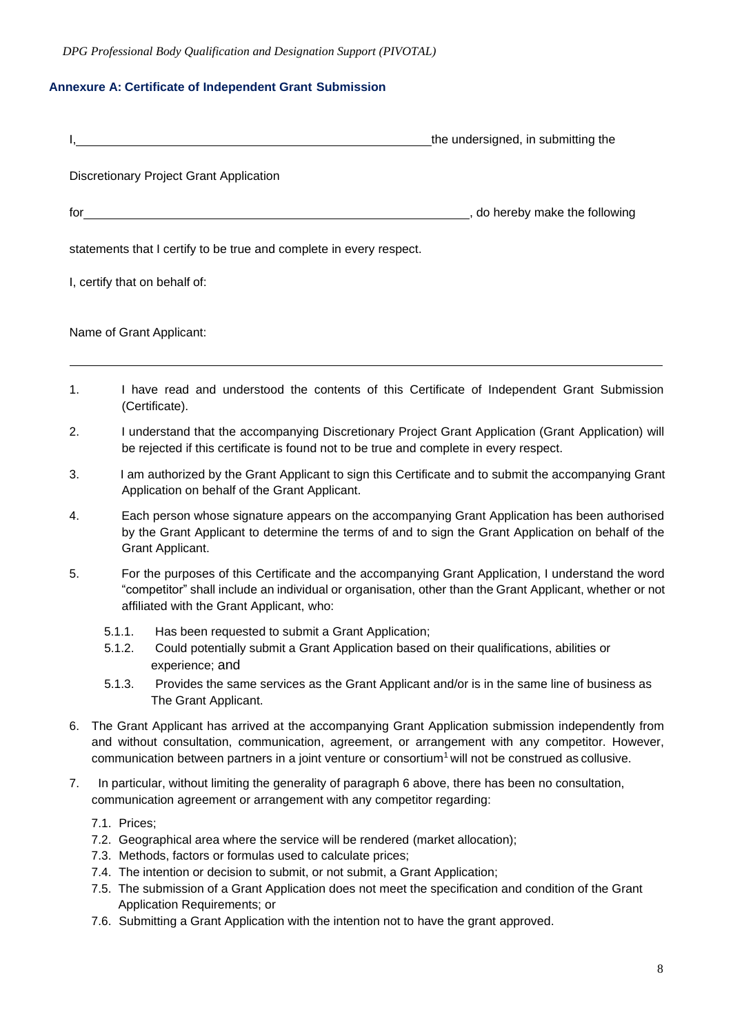*DPG Professional Body Qualification and Designation Support (PIVOTAL)*

## **Annexure A: Certificate of Independent Grant Submission**

|                | the undersigned, in submitting the                                                                                                                                                                                                                                                                                          |
|----------------|-----------------------------------------------------------------------------------------------------------------------------------------------------------------------------------------------------------------------------------------------------------------------------------------------------------------------------|
|                | <b>Discretionary Project Grant Application</b>                                                                                                                                                                                                                                                                              |
| for $\sqrt{ }$ | o do hereby make the following                                                                                                                                                                                                                                                                                              |
|                | statements that I certify to be true and complete in every respect.                                                                                                                                                                                                                                                         |
|                | I, certify that on behalf of:                                                                                                                                                                                                                                                                                               |
|                | Name of Grant Applicant:                                                                                                                                                                                                                                                                                                    |
| 1.             | I have read and understood the contents of this Certificate of Independent Grant Submission<br>(Certificate).                                                                                                                                                                                                               |
| 2.             | I understand that the accompanying Discretionary Project Grant Application (Grant Application) will<br>be rejected if this certificate is found not to be true and complete in every respect.                                                                                                                               |
| 3.             | I am authorized by the Grant Applicant to sign this Certificate and to submit the accompanying Grant<br>Application on behalf of the Grant Applicant.                                                                                                                                                                       |
| 4.             | Each person whose signature appears on the accompanying Grant Application has been authorised<br>by the Grant Applicant to determine the terms of and to sign the Grant Application on behalf of the<br>Grant Applicant.                                                                                                    |
| 5.             | For the purposes of this Certificate and the accompanying Grant Application, I understand the word<br>"competitor" shall include an individual or organisation, other than the Grant Applicant, whether or not<br>affiliated with the Grant Applicant, who:                                                                 |
|                | 5.1.1.<br>Has been requested to submit a Grant Application;<br>Could potentially submit a Grant Application based on their qualifications, abilities or<br>5.1.2.<br>experience; and                                                                                                                                        |
|                | 5.1.3.<br>Provides the same services as the Grant Applicant and/or is in the same line of business as<br>The Grant Applicant.                                                                                                                                                                                               |
| 6.             | The Grant Applicant has arrived at the accompanying Grant Application submission independently from<br>and without consultation, communication, agreement, or arrangement with any competitor. However,<br>communication between partners in a joint venture or consortium <sup>1</sup> will not be construed as collusive. |
|                | lor without limiting the generality of percepanch C above, there has been no concultation                                                                                                                                                                                                                                   |

- 7. In particular, without limiting the generality of paragraph 6 above, there has been no consultation, communication agreement or arrangement with any competitor regarding:
	- 7.1. Prices;
	- 7.2. Geographical area where the service will be rendered (market allocation);
	- 7.3. Methods, factors or formulas used to calculate prices;
	- 7.4. The intention or decision to submit, or not submit, a Grant Application;
	- 7.5. The submission of a Grant Application does not meet the specification and condition of the Grant Application Requirements; or
	- 7.6. Submitting a Grant Application with the intention not to have the grant approved.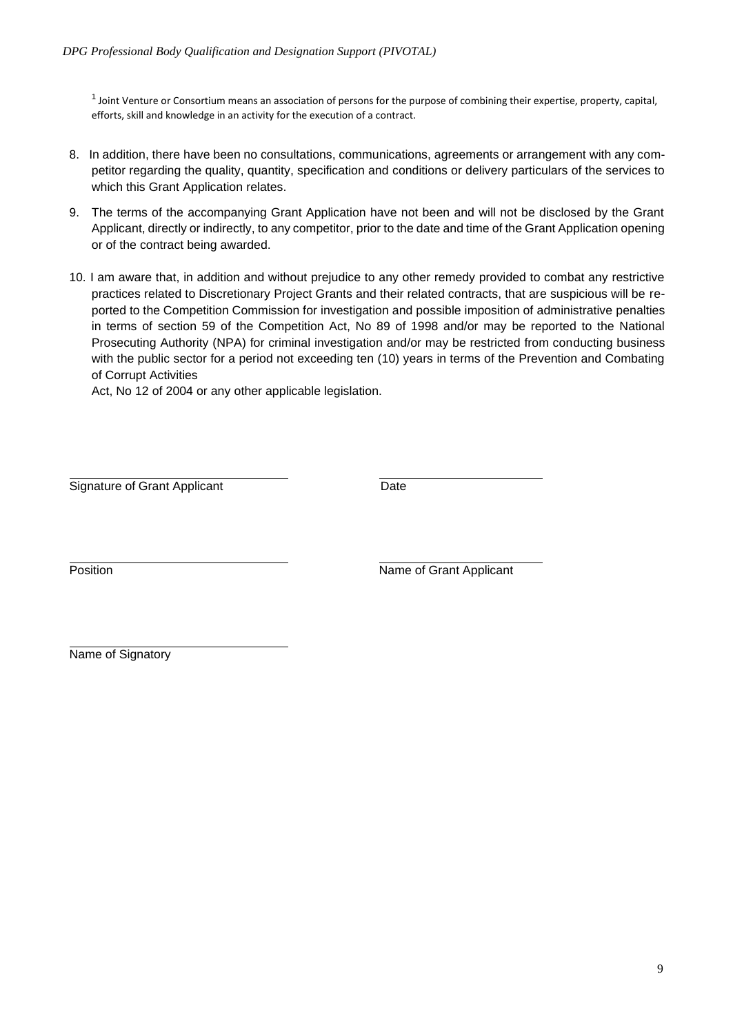$1$  Joint Venture or Consortium means an association of persons for the purpose of combining their expertise, property, capital, efforts, skill and knowledge in an activity for the execution of a contract.

- 8. In addition, there have been no consultations, communications, agreements or arrangement with any competitor regarding the quality, quantity, specification and conditions or delivery particulars of the services to which this Grant Application relates.
- 9. The terms of the accompanying Grant Application have not been and will not be disclosed by the Grant Applicant, directly or indirectly, to any competitor, prior to the date and time of the Grant Application opening or of the contract being awarded.
- 10. I am aware that, in addition and without prejudice to any other remedy provided to combat any restrictive practices related to Discretionary Project Grants and their related contracts, that are suspicious will be reported to the Competition Commission for investigation and possible imposition of administrative penalties in terms of section 59 of the Competition Act, No 89 of 1998 and/or may be reported to the National Prosecuting Authority (NPA) for criminal investigation and/or may be restricted from conducting business with the public sector for a period not exceeding ten (10) years in terms of the Prevention and Combating of Corrupt Activities

Act, No 12 of 2004 or any other applicable legislation.

Signature of Grant Applicant Date

Position **Name of Grant Applicant** 

Name of Signatory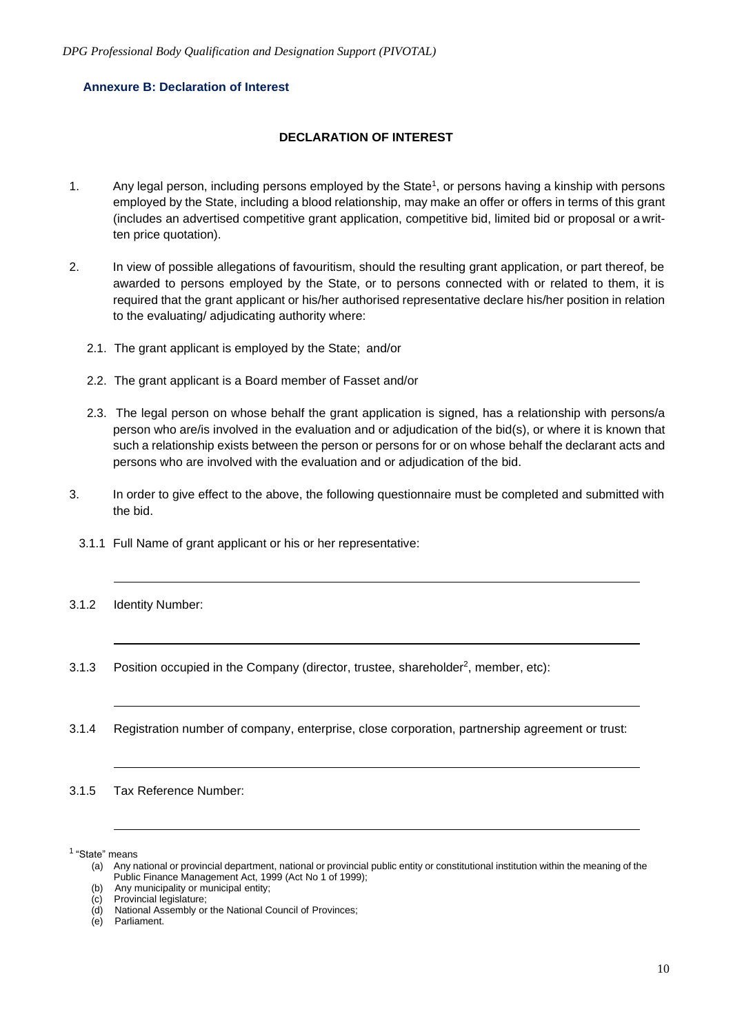## **Annexure B: Declaration of Interest**

## **DECLARATION OF INTEREST**

- 1. Any legal person, including persons employed by the State<sup>1</sup>, or persons having a kinship with persons employed by the State, including a blood relationship, may make an offer or offers in terms of this grant (includes an advertised competitive grant application, competitive bid, limited bid or proposal or a written price quotation).
- 2. In view of possible allegations of favouritism, should the resulting grant application, or part thereof, be awarded to persons employed by the State, or to persons connected with or related to them, it is required that the grant applicant or his/her authorised representative declare his/her position in relation to the evaluating/ adjudicating authority where:
	- 2.1. The grant applicant is employed by the State; and/or
	- 2.2. The grant applicant is a Board member of Fasset and/or
	- 2.3. The legal person on whose behalf the grant application is signed, has a relationship with persons/a person who are/is involved in the evaluation and or adjudication of the bid(s), or where it is known that such a relationship exists between the person or persons for or on whose behalf the declarant acts and persons who are involved with the evaluation and or adjudication of the bid.
- 3. In order to give effect to the above, the following questionnaire must be completed and submitted with the bid.
	- 3.1.1 Full Name of grant applicant or his or her representative:
- 3.1.2 Identity Number:
- 3.1.3 Position occupied in the Company (director, trustee, shareholder<sup>2</sup>, member, etc):
- 3.1.4 Registration number of company, enterprise, close corporation, partnership agreement or trust:

3.1.5 Tax Reference Number:

<sup>&</sup>lt;sup>1</sup> "State" means

<sup>(</sup>a) Any national or provincial department, national or provincial public entity or constitutional institution within the meaning of the Public Finance Management Act, 1999 (Act No 1 of 1999);

<sup>(</sup>b) Any municipality or municipal entity;

<sup>(</sup>c) Provincial legislature;

<sup>(</sup>d) National Assembly or the National Council of Provinces;

<sup>(</sup>e) Parliament.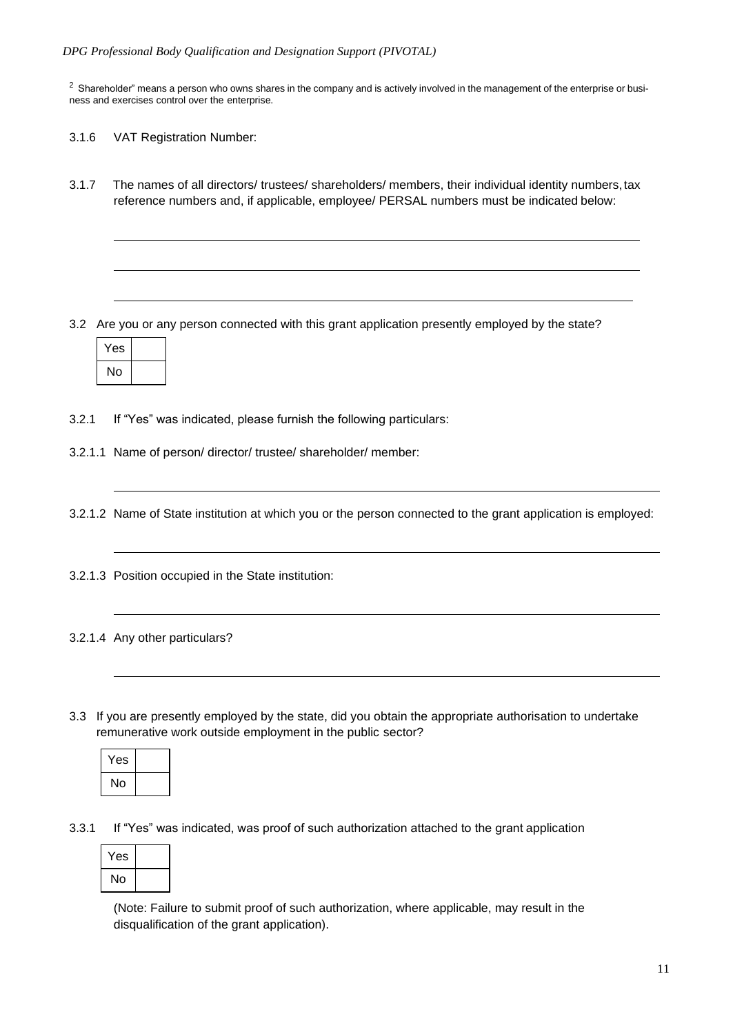$2$  Shareholder" means a person who owns shares in the company and is actively involved in the management of the enterprise or business and exercises control over the enterprise.

- 3.1.6 VAT Registration Number:
- 3.1.7 The names of all directors/ trustees/ shareholders/ members, their individual identity numbers,tax reference numbers and, if applicable, employee/ PERSAL numbers must be indicated below:

3.2 Are you or any person connected with this grant application presently employed by the state?

| 'es |  |
|-----|--|
| N٥  |  |

- 3.2.1 If "Yes" was indicated, please furnish the following particulars:
- 3.2.1.1 Name of person/ director/ trustee/ shareholder/ member:
- 3.2.1.2 Name of State institution at which you or the person connected to the grant application is employed:
- 3.2.1.3 Position occupied in the State institution:
- 3.2.1.4 Any other particulars?
- 3.3 If you are presently employed by the state, did you obtain the appropriate authorisation to undertake remunerative work outside employment in the public sector?

| Yes |  |
|-----|--|
| No  |  |

3.3.1 If "Yes" was indicated, was proof of such authorization attached to the grant application

| Yes |  |
|-----|--|
| No  |  |

(Note: Failure to submit proof of such authorization, where applicable, may result in the disqualification of the grant application).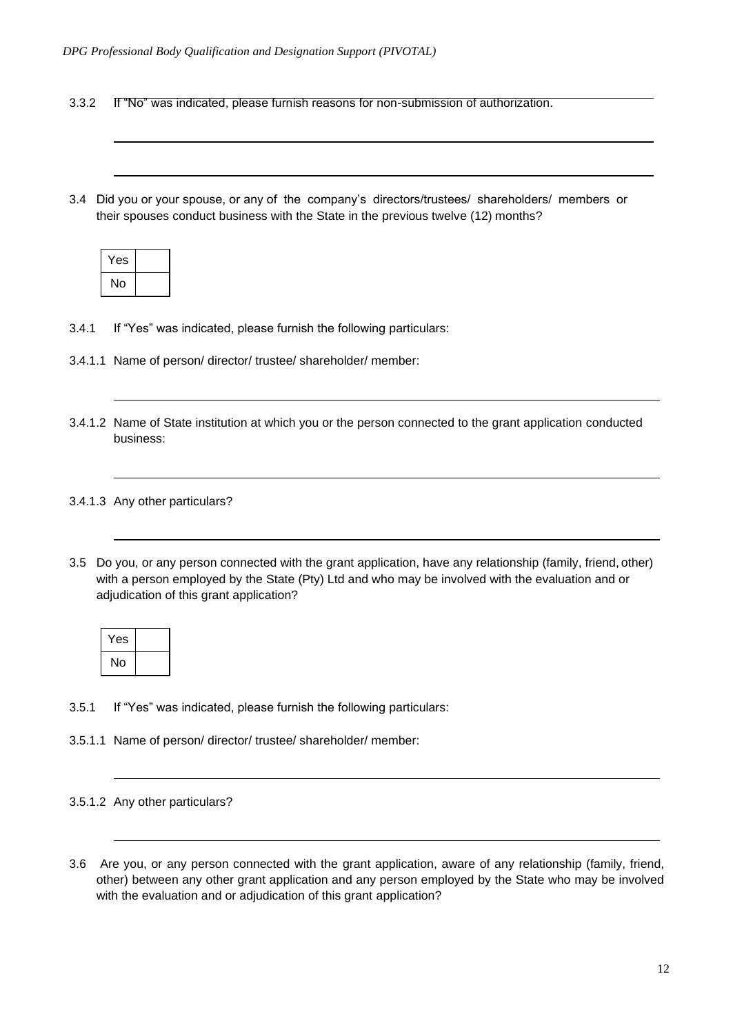- 3.3.2 If "No" was indicated, please furnish reasons for non-submission of authorization.
- 3.4 Did you or your spouse, or any of the company's directors/trustees/ shareholders/ members or their spouses conduct business with the State in the previous twelve (12) months?

| Yes |  |
|-----|--|
| No  |  |

- 3.4.1 If "Yes" was indicated, please furnish the following particulars:
- 3.4.1.1 Name of person/ director/ trustee/ shareholder/ member:
- 3.4.1.2 Name of State institution at which you or the person connected to the grant application conducted business:

#### 3.4.1.3 Any other particulars?

3.5 Do you, or any person connected with the grant application, have any relationship (family, friend, other) with a person employed by the State (Pty) Ltd and who may be involved with the evaluation and or adjudication of this grant application?

| Yes |  |
|-----|--|
| No  |  |

- 3.5.1 If "Yes" was indicated, please furnish the following particulars:
- 3.5.1.1 Name of person/ director/ trustee/ shareholder/ member:

3.6 Are you, or any person connected with the grant application, aware of any relationship (family, friend, other) between any other grant application and any person employed by the State who may be involved with the evaluation and or adjudication of this grant application?

<sup>3.5.1.2</sup> Any other particulars?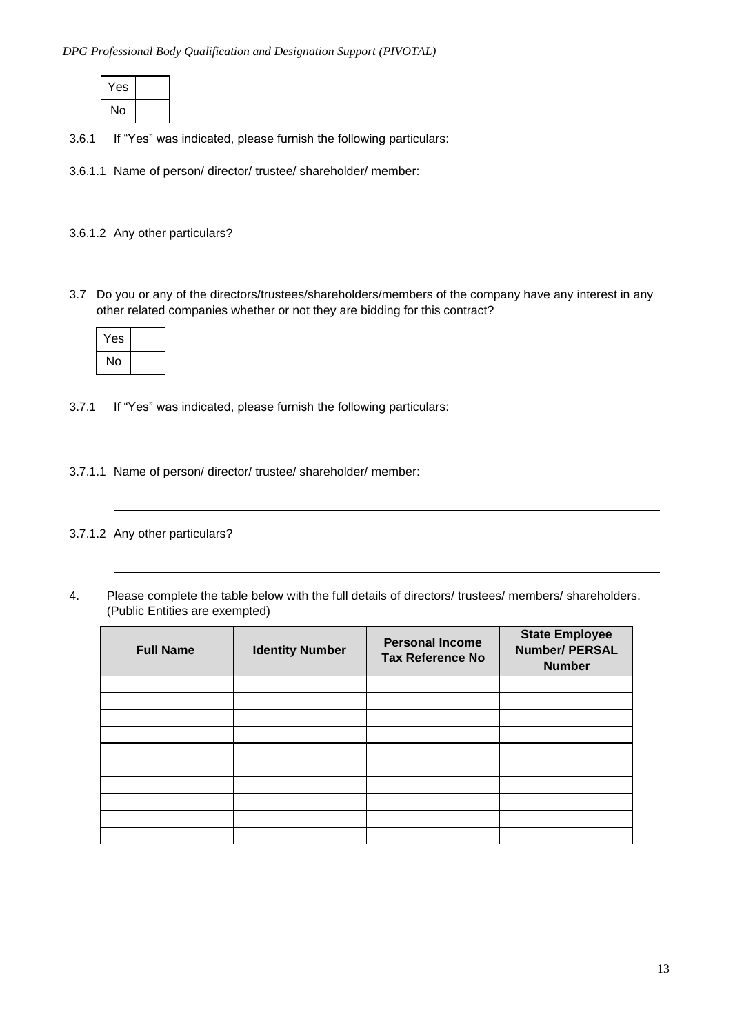| Yes |  |
|-----|--|
| No  |  |

3.6.1 If "Yes" was indicated, please furnish the following particulars:

3.6.1.1 Name of person/ director/ trustee/ shareholder/ member:

3.6.1.2 Any other particulars?

3.7 Do you or any of the directors/trustees/shareholders/members of the company have any interest in any other related companies whether or not they are bidding for this contract?

| Yes |  |
|-----|--|
| No  |  |

3.7.1 If "Yes" was indicated, please furnish the following particulars:

3.7.1.1 Name of person/ director/ trustee/ shareholder/ member:

3.7.1.2 Any other particulars?

4. Please complete the table below with the full details of directors/ trustees/ members/ shareholders. (Public Entities are exempted)

| <b>Full Name</b> | <b>Identity Number</b> | <b>Personal Income</b><br><b>Tax Reference No</b> | <b>State Employee</b><br><b>Number/ PERSAL</b><br><b>Number</b> |
|------------------|------------------------|---------------------------------------------------|-----------------------------------------------------------------|
|                  |                        |                                                   |                                                                 |
|                  |                        |                                                   |                                                                 |
|                  |                        |                                                   |                                                                 |
|                  |                        |                                                   |                                                                 |
|                  |                        |                                                   |                                                                 |
|                  |                        |                                                   |                                                                 |
|                  |                        |                                                   |                                                                 |
|                  |                        |                                                   |                                                                 |
|                  |                        |                                                   |                                                                 |
|                  |                        |                                                   |                                                                 |